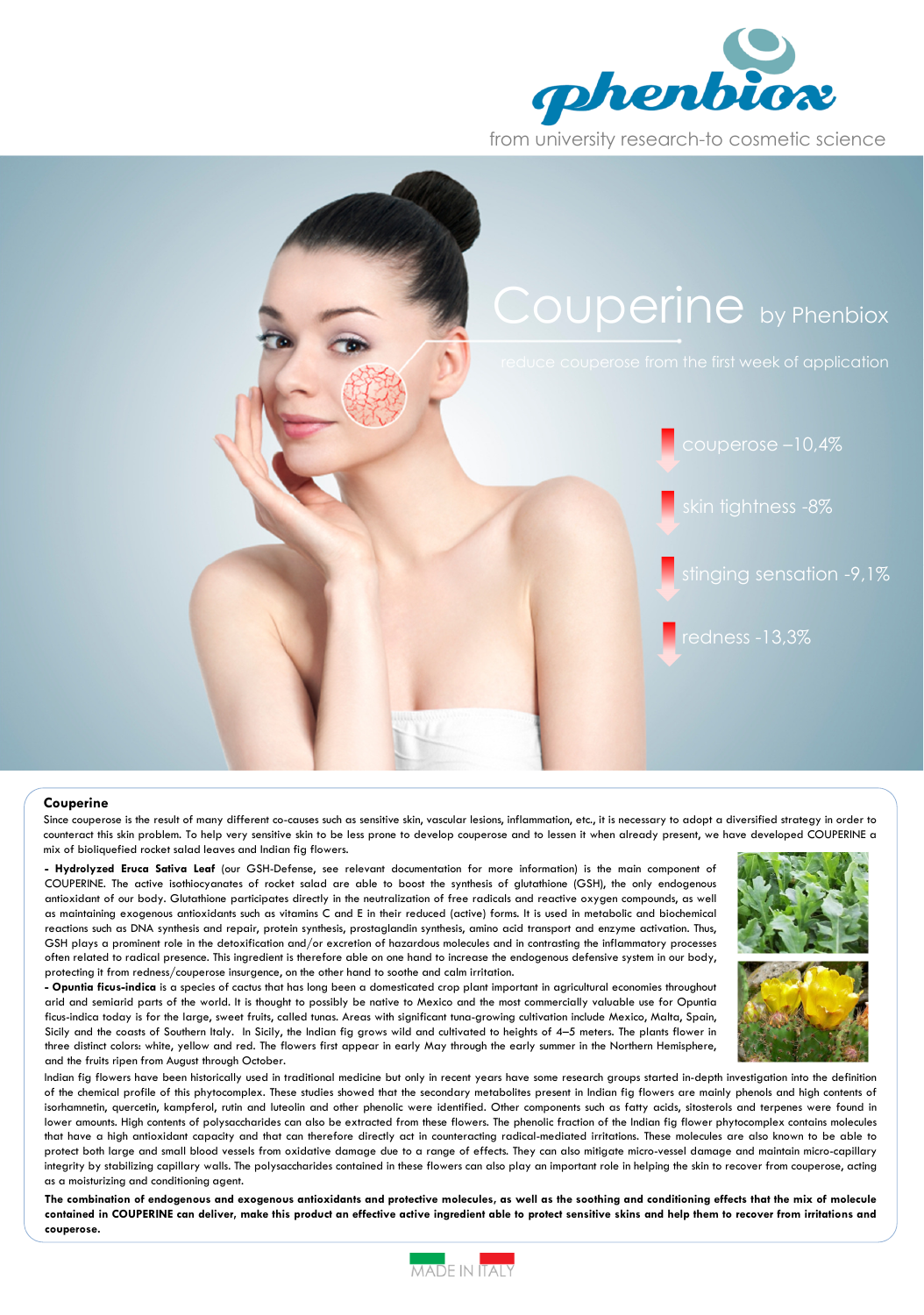



## Couperine

Since couperose is the result of many different co-causes such as sensitive skin, vascular lesions, inflammation, etc., it is necessary to adopt a diversified strategy in order to counteract this skin problem. To help very sensitive skin to be less prone to develop couperose and to lessen it when already present, we have developed COUPERINE a mix of bioliquefied rocket salad leaves and Indian fig flowers.

- Hydrolyzed Eruca Sativa Leaf (our GSH-Defense, see relevant documentation for more information) is the main component of COUPERINE. The active isothiocyanates of rocket salad are able to boost the synthesis of glutathione (GSH), the only endogenous antioxidant of our body. Glutathione participates directly in the neutralization of free radicals and reactive oxygen compounds, as well as maintaining exogenous antioxidants such as vitamins C and E in their reduced (active) forms. It is used in metabolic and biochemical reactions such as DNA synthesis and repair, protein synthesis, prostaglandin synthesis, amino acid transport and enzyme activation. Thus, GSH plays a prominent role in the detoxification and/or excretion of hazardous molecules and in contrasting the inflammatory processes often related to radical presence. This ingredient is therefore able on one hand to increase the endogenous defensive system in our body, protecting it from redness/couperose insurgence, on the other hand to soothe and calm irritation.

- Opuntia ficus-indica is a species of cactus that has long been a domesticated crop plant important in agricultural economies throughout arid and semiarid parts of the world. It is thought to possibly be native to Mexico and the most commercially valuable use for Opuntia ficus-indica today is for the large, sweet fruits, called tunas. Areas with significant tuna-growing cultivation include Mexico, Malta, Spain, Sicily and the coasts of Southern Italy. In Sicily, the Indian fig grows wild and cultivated to heights of 4–5 meters. The plants flower in three distinct colors: white, yellow and red. The flowers first appear in early May through the early summer in the Northern Hemisphere, and the fruits ripen from August through October.



Indian fig flowers have been historically used in traditional medicine but only in recent years have some research groups started in-depth investigation into the definition of the chemical profile of this phytocomplex. These studies showed that the secondary metabolites present in Indian fig flowers are mainly phenols and high contents of isorhamnetin, quercetin, kampferol, rutin and luteolin and other phenolic were identified. Other components such as fatty acids, sitosterols and terpenes were found in lower amounts. High contents of polysaccharides can also be extracted from these flowers. The phenolic fraction of the Indian fig flower phytocomplex contains molecules that have a high antioxidant capacity and that can therefore directly act in counteracting radical-mediated irritations. These molecules are also known to be able to protect both large and small blood vessels from oxidative damage due to a range of effects. They can also mitigate micro-vessel damage and maintain micro-capillary integrity by stabilizing capillary walls. The polysaccharides contained in these flowers can also play an important role in helping the skin to recover from couperose, acting as a moisturizing and conditioning agent.

The combination of endogenous and exogenous antioxidants and protective molecules, as well as the soothing and conditioning effects that the mix of molecule contained in COUPERINE can deliver, make this product an effective active ingredient able to protect sensitive skins and help them to recover from irritations and couperose.